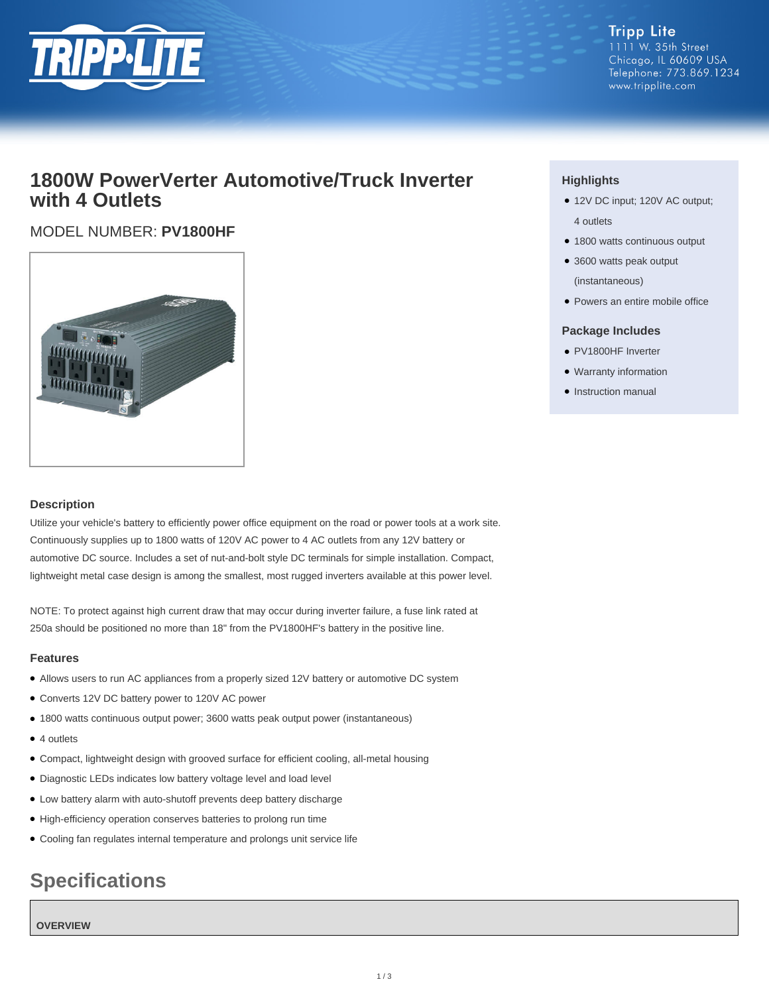

**Tripp Lite** 1111 W. 35th Street Chicago, IL 60609 USA Telephone: 773.869.1234 www.tripplite.com

# **1800W PowerVerter Automotive/Truck Inverter with 4 Outlets**

# MODEL NUMBER: **PV1800HF**



### **Description**

Utilize your vehicle's battery to efficiently power office equipment on the road or power tools at a work site. Continuously supplies up to 1800 watts of 120V AC power to 4 AC outlets from any 12V battery or automotive DC source. Includes a set of nut-and-bolt style DC terminals for simple installation. Compact, lightweight metal case design is among the smallest, most rugged inverters available at this power level.

NOTE: To protect against high current draw that may occur during inverter failure, a fuse link rated at 250a should be positioned no more than 18" from the PV1800HF's battery in the positive line.

### **Features**

- Allows users to run AC appliances from a properly sized 12V battery or automotive DC system
- Converts 12V DC battery power to 120V AC power
- 1800 watts continuous output power; 3600 watts peak output power (instantaneous)
- 4 outlets
- Compact, lightweight design with grooved surface for efficient cooling, all-metal housing
- Diagnostic LEDs indicates low battery voltage level and load level
- Low battery alarm with auto-shutoff prevents deep battery discharge
- High-efficiency operation conserves batteries to prolong run time
- Cooling fan regulates internal temperature and prolongs unit service life

# **Specifications**

#### **OVERVIEW**

## **Highlights**

- 12V DC input; 120V AC output; 4 outlets
- 1800 watts continuous output
- 3600 watts peak output (instantaneous)
- Powers an entire mobile office

### **Package Includes**

- PV1800HF Inverter
- Warranty information
- Instruction manual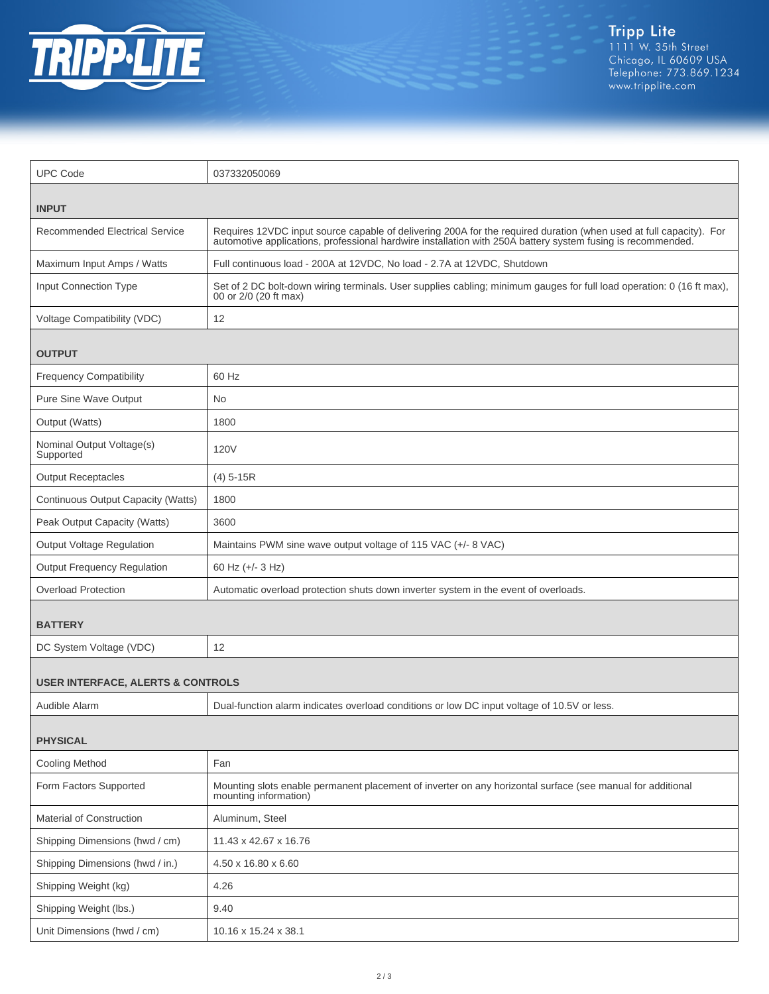

| <b>UPC Code</b>                              | 037332050069                                                                                                                                                                                                                      |  |
|----------------------------------------------|-----------------------------------------------------------------------------------------------------------------------------------------------------------------------------------------------------------------------------------|--|
| <b>INPUT</b>                                 |                                                                                                                                                                                                                                   |  |
| <b>Recommended Electrical Service</b>        | Requires 12VDC input source capable of delivering 200A for the required duration (when used at full capacity). For<br>automotive applications, professional hardwire installation with 250A battery system fusing is recommended. |  |
| Maximum Input Amps / Watts                   | Full continuous load - 200A at 12VDC, No load - 2.7A at 12VDC, Shutdown                                                                                                                                                           |  |
| <b>Input Connection Type</b>                 | Set of 2 DC bolt-down wiring terminals. User supplies cabling; minimum gauges for full load operation: 0 (16 ft max),<br>00 or 2/0 (20 ft max)                                                                                    |  |
| Voltage Compatibility (VDC)                  | 12                                                                                                                                                                                                                                |  |
| <b>OUTPUT</b>                                |                                                                                                                                                                                                                                   |  |
| <b>Frequency Compatibility</b>               | 60 Hz                                                                                                                                                                                                                             |  |
| Pure Sine Wave Output                        | No.                                                                                                                                                                                                                               |  |
| Output (Watts)                               | 1800                                                                                                                                                                                                                              |  |
| Nominal Output Voltage(s)<br>Supported       | <b>120V</b>                                                                                                                                                                                                                       |  |
| <b>Output Receptacles</b>                    | $(4)$ 5-15R                                                                                                                                                                                                                       |  |
| Continuous Output Capacity (Watts)           | 1800                                                                                                                                                                                                                              |  |
| Peak Output Capacity (Watts)                 | 3600                                                                                                                                                                                                                              |  |
| Output Voltage Regulation                    | Maintains PWM sine wave output voltage of 115 VAC (+/- 8 VAC)                                                                                                                                                                     |  |
| <b>Output Frequency Regulation</b>           | 60 Hz (+/- 3 Hz)                                                                                                                                                                                                                  |  |
| <b>Overload Protection</b>                   | Automatic overload protection shuts down inverter system in the event of overloads.                                                                                                                                               |  |
| <b>BATTERY</b>                               |                                                                                                                                                                                                                                   |  |
| DC System Voltage (VDC)                      | 12                                                                                                                                                                                                                                |  |
| <b>USER INTERFACE, ALERTS &amp; CONTROLS</b> |                                                                                                                                                                                                                                   |  |
| Audible Alarm                                | Dual-function alarm indicates overload conditions or low DC input voltage of 10.5V or less.                                                                                                                                       |  |
| <b>PHYSICAL</b>                              |                                                                                                                                                                                                                                   |  |
| <b>Cooling Method</b>                        | Fan                                                                                                                                                                                                                               |  |
| Form Factors Supported                       | Mounting slots enable permanent placement of inverter on any horizontal surface (see manual for additional<br>mounting information)                                                                                               |  |
| Material of Construction                     | Aluminum, Steel                                                                                                                                                                                                                   |  |
| Shipping Dimensions (hwd / cm)               | 11.43 x 42.67 x 16.76                                                                                                                                                                                                             |  |
| Shipping Dimensions (hwd / in.)              | 4.50 x 16.80 x 6.60                                                                                                                                                                                                               |  |
| Shipping Weight (kg)                         | 4.26                                                                                                                                                                                                                              |  |
| Shipping Weight (lbs.)                       | 9.40                                                                                                                                                                                                                              |  |
| Unit Dimensions (hwd / cm)                   | 10.16 x 15.24 x 38.1                                                                                                                                                                                                              |  |